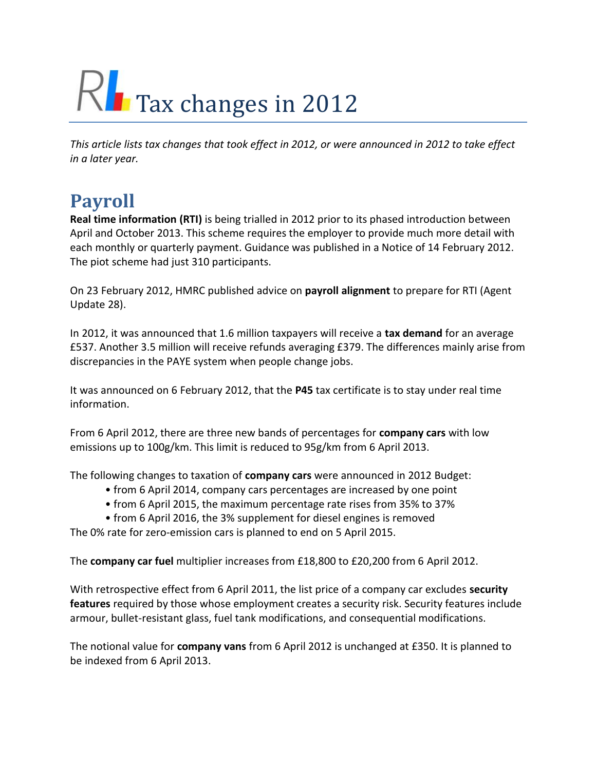# $\mathsf{RL}$  Tax changes in 2012

*This article lists tax changes that took effect in 2012, or were announced in 2012 to take effect in a later year.*

## **Payroll**

**Real time information (RTI)** is being trialled in 2012 prior to its phased introduction between April and October 2013. This scheme requires the employer to provide much more detail with each monthly or quarterly payment. Guidance was published in a Notice of 14 February 2012. The piot scheme had just 310 participants.

On 23 February 2012, HMRC published advice on **payroll alignment** to prepare for RTI (Agent Update 28).

In 2012, it was announced that 1.6 million taxpayers will receive a **tax demand** for an average £537. Another 3.5 million will receive refunds averaging £379. The differences mainly arise from discrepancies in the PAYE system when people change jobs.

It was announced on 6 February 2012, that the **P45** tax certificate is to stay under real time information.

From 6 April 2012, there are three new bands of percentages for **company cars** with low emissions up to 100g/km. This limit is reduced to 95g/km from 6 April 2013.

The following changes to taxation of **company cars** were announced in 2012 Budget:

- from 6 April 2014, company cars percentages are increased by one point
- from 6 April 2015, the maximum percentage rate rises from 35% to 37%
- from 6 April 2016, the 3% supplement for diesel engines is removed

The 0% rate for zero-emission cars is planned to end on 5 April 2015.

The **company car fuel** multiplier increases from £18,800 to £20,200 from 6 April 2012.

With retrospective effect from 6 April 2011, the list price of a company car excludes **security features** required by those whose employment creates a security risk. Security features include armour, bullet-resistant glass, fuel tank modifications, and consequential modifications.

The notional value for **company vans** from 6 April 2012 is unchanged at £350. It is planned to be indexed from 6 April 2013.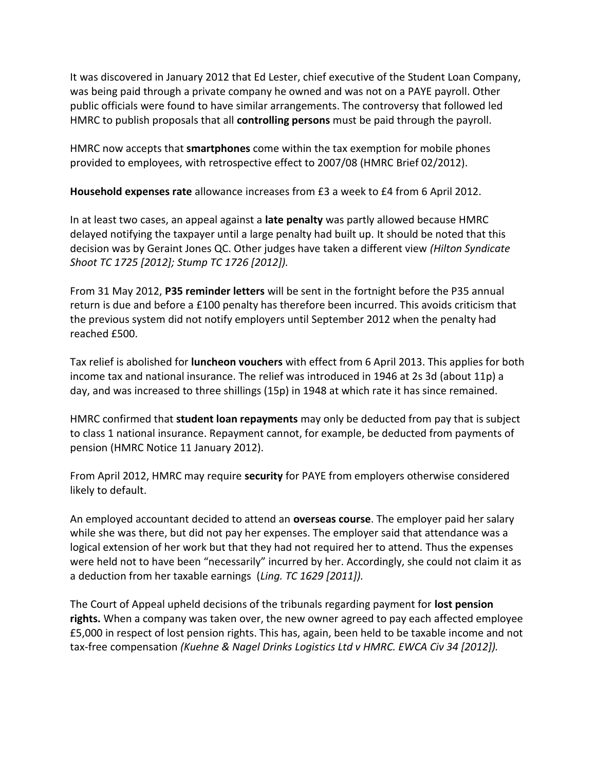It was discovered in January 2012 that Ed Lester, chief executive of the Student Loan Company, was being paid through a private company he owned and was not on a PAYE payroll. Other public officials were found to have similar arrangements. The controversy that followed led HMRC to publish proposals that all **controlling persons** must be paid through the payroll.

HMRC now accepts that **smartphones** come within the tax exemption for mobile phones provided to employees, with retrospective effect to 2007/08 (HMRC Brief 02/2012).

**Household expenses rate** allowance increases from £3 a week to £4 from 6 April 2012.

In at least two cases, an appeal against a **late penalty** was partly allowed because HMRC delayed notifying the taxpayer until a large penalty had built up. It should be noted that this decision was by Geraint Jones QC. Other judges have taken a different view *(Hilton Syndicate Shoot TC 1725 [2012]; Stump TC 1726 [2012]).*

From 31 May 2012, **P35 reminder letters** will be sent in the fortnight before the P35 annual return is due and before a £100 penalty has therefore been incurred. This avoids criticism that the previous system did not notify employers until September 2012 when the penalty had reached £500.

Tax relief is abolished for **luncheon vouchers** with effect from 6 April 2013. This applies for both income tax and national insurance. The relief was introduced in 1946 at 2s 3d (about 11p) a day, and was increased to three shillings (15p) in 1948 at which rate it has since remained.

HMRC confirmed that **student loan repayments** may only be deducted from pay that is subject to class 1 national insurance. Repayment cannot, for example, be deducted from payments of pension (HMRC Notice 11 January 2012).

From April 2012, HMRC may require **security** for PAYE from employers otherwise considered likely to default.

An employed accountant decided to attend an **overseas course**. The employer paid her salary while she was there, but did not pay her expenses. The employer said that attendance was a logical extension of her work but that they had not required her to attend. Thus the expenses were held not to have been "necessarily" incurred by her. Accordingly, she could not claim it as a deduction from her taxable earnings (*Ling. TC 1629 [2011]).*

The Court of Appeal upheld decisions of the tribunals regarding payment for **lost pension rights.** When a company was taken over, the new owner agreed to pay each affected employee £5,000 in respect of lost pension rights. This has, again, been held to be taxable income and not tax-free compensation *(Kuehne & Nagel Drinks Logistics Ltd v HMRC. EWCA Civ 34 [2012]).*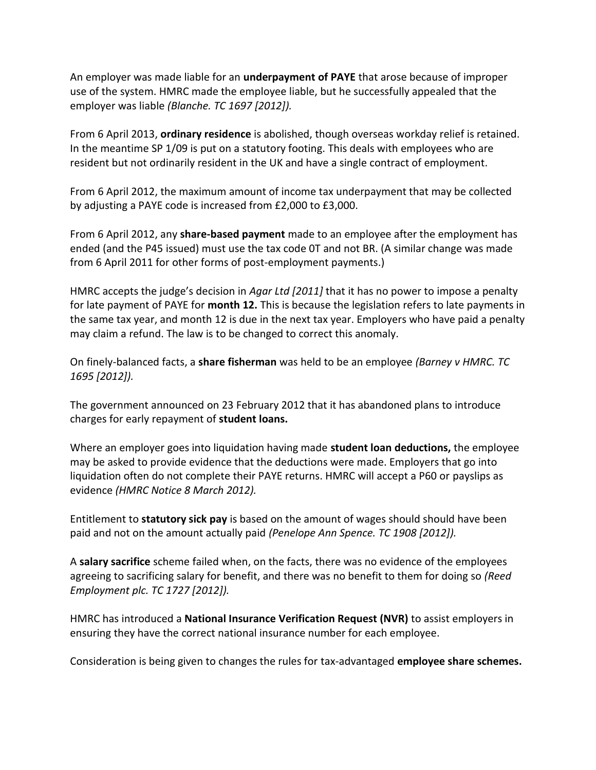An employer was made liable for an **underpayment of PAYE** that arose because of improper use of the system. HMRC made the employee liable, but he successfully appealed that the employer was liable *(Blanche. TC 1697 [2012]).*

From 6 April 2013, **ordinary residence** is abolished, though overseas workday relief is retained. In the meantime SP 1/09 is put on a statutory footing. This deals with employees who are resident but not ordinarily resident in the UK and have a single contract of employment.

From 6 April 2012, the maximum amount of income tax underpayment that may be collected by adjusting a PAYE code is increased from £2,000 to £3,000.

From 6 April 2012, any **share-based payment** made to an employee after the employment has ended (and the P45 issued) must use the tax code 0T and not BR. (A similar change was made from 6 April 2011 for other forms of post-employment payments.)

HMRC accepts the judge's decision in *Agar Ltd [2011]* that it has no power to impose a penalty for late payment of PAYE for **month 12.** This is because the legislation refers to late payments in the same tax year, and month 12 is due in the next tax year. Employers who have paid a penalty may claim a refund. The law is to be changed to correct this anomaly.

On finely-balanced facts, a **share fisherman** was held to be an employee *(Barney v HMRC. TC 1695 [2012]).*

The government announced on 23 February 2012 that it has abandoned plans to introduce charges for early repayment of **student loans.**

Where an employer goes into liquidation having made **student loan deductions,** the employee may be asked to provide evidence that the deductions were made. Employers that go into liquidation often do not complete their PAYE returns. HMRC will accept a P60 or payslips as evidence *(HMRC Notice 8 March 2012).*

Entitlement to **statutory sick pay** is based on the amount of wages should should have been paid and not on the amount actually paid *(Penelope Ann Spence. TC 1908 [2012]).*

A **salary sacrifice** scheme failed when, on the facts, there was no evidence of the employees agreeing to sacrificing salary for benefit, and there was no benefit to them for doing so *(Reed Employment plc. TC 1727 [2012]).*

HMRC has introduced a **National Insurance Verification Request (NVR)** to assist employers in ensuring they have the correct national insurance number for each employee.

Consideration is being given to changes the rules for tax-advantaged **employee share schemes.**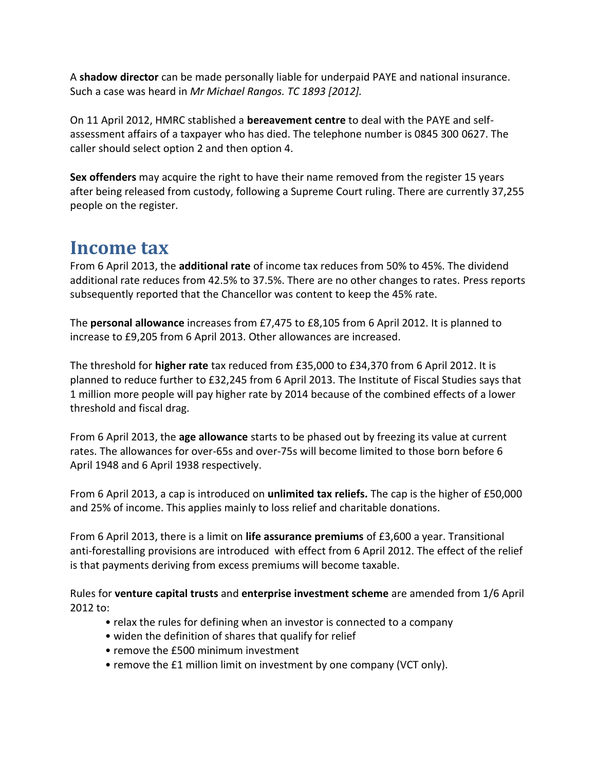A **shadow director** can be made personally liable for underpaid PAYE and national insurance. Such a case was heard in *Mr Michael Rangos. TC 1893 [2012].*

On 11 April 2012, HMRC stablished a **bereavement centre** to deal with the PAYE and selfassessment affairs of a taxpayer who has died. The telephone number is 0845 300 0627. The caller should select option 2 and then option 4.

**Sex offenders** may acquire the right to have their name removed from the register 15 years after being released from custody, following a Supreme Court ruling. There are currently 37,255 people on the register.

#### **Income tax**

From 6 April 2013, the **additional rate** of income tax reduces from 50% to 45%. The dividend additional rate reduces from 42.5% to 37.5%. There are no other changes to rates. Press reports subsequently reported that the Chancellor was content to keep the 45% rate.

The **personal allowance** increases from £7,475 to £8,105 from 6 April 2012. It is planned to increase to £9,205 from 6 April 2013. Other allowances are increased.

The threshold for **higher rate** tax reduced from £35,000 to £34,370 from 6 April 2012. It is planned to reduce further to £32,245 from 6 April 2013. The Institute of Fiscal Studies says that 1 million more people will pay higher rate by 2014 because of the combined effects of a lower threshold and fiscal drag.

From 6 April 2013, the **age allowance** starts to be phased out by freezing its value at current rates. The allowances for over-65s and over-75s will become limited to those born before 6 April 1948 and 6 April 1938 respectively.

From 6 April 2013, a cap is introduced on **unlimited tax reliefs.** The cap is the higher of £50,000 and 25% of income. This applies mainly to loss relief and charitable donations.

From 6 April 2013, there is a limit on **life assurance premiums** of £3,600 a year. Transitional anti-forestalling provisions are introduced with effect from 6 April 2012. The effect of the relief is that payments deriving from excess premiums will become taxable.

Rules for **venture capital trusts** and **enterprise investment scheme** are amended from 1/6 April 2012 to:

- relax the rules for defining when an investor is connected to a company
- widen the definition of shares that qualify for relief
- remove the £500 minimum investment
- remove the £1 million limit on investment by one company (VCT only).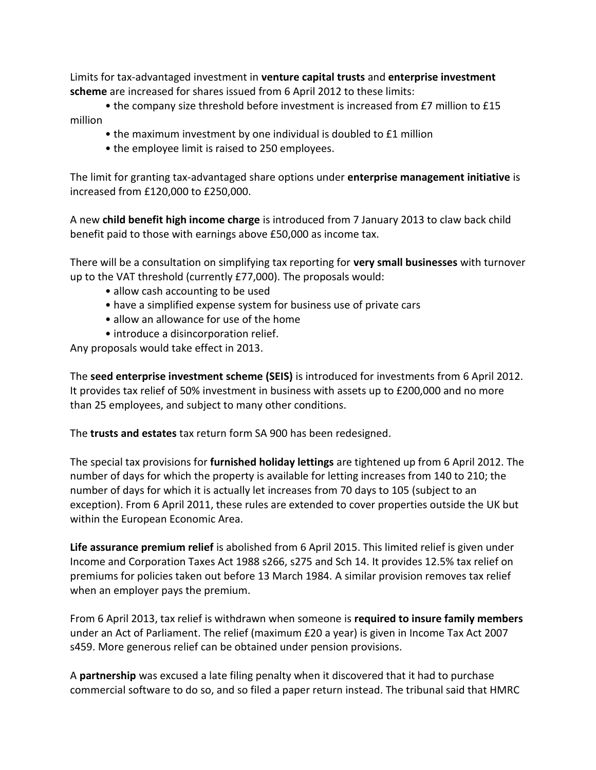Limits for tax-advantaged investment in **venture capital trusts** and **enterprise investment scheme** are increased for shares issued from 6 April 2012 to these limits:

• the company size threshold before investment is increased from £7 million to £15 million

- the maximum investment by one individual is doubled to £1 million
- the employee limit is raised to 250 employees.

The limit for granting tax-advantaged share options under **enterprise management initiative** is increased from £120,000 to £250,000.

A new **child benefit high income charge** is introduced from 7 January 2013 to claw back child benefit paid to those with earnings above £50,000 as income tax.

There will be a consultation on simplifying tax reporting for **very small businesses** with turnover up to the VAT threshold (currently £77,000). The proposals would:

- allow cash accounting to be used
- have a simplified expense system for business use of private cars
- allow an allowance for use of the home
- introduce a disincorporation relief.

Any proposals would take effect in 2013.

The **seed enterprise investment scheme (SEIS)** is introduced for investments from 6 April 2012. It provides tax relief of 50% investment in business with assets up to £200,000 and no more than 25 employees, and subject to many other conditions.

The **trusts and estates** tax return form SA 900 has been redesigned.

The special tax provisions for **furnished holiday lettings** are tightened up from 6 April 2012. The number of days for which the property is available for letting increases from 140 to 210; the number of days for which it is actually let increases from 70 days to 105 (subject to an exception). From 6 April 2011, these rules are extended to cover properties outside the UK but within the European Economic Area.

**Life assurance premium relief** is abolished from 6 April 2015. This limited relief is given under Income and Corporation Taxes Act 1988 s266, s275 and Sch 14. It provides 12.5% tax relief on premiums for policies taken out before 13 March 1984. A similar provision removes tax relief when an employer pays the premium.

From 6 April 2013, tax relief is withdrawn when someone is **required to insure family members**  under an Act of Parliament. The relief (maximum £20 a year) is given in Income Tax Act 2007 s459. More generous relief can be obtained under pension provisions.

A **partnership** was excused a late filing penalty when it discovered that it had to purchase commercial software to do so, and so filed a paper return instead. The tribunal said that HMRC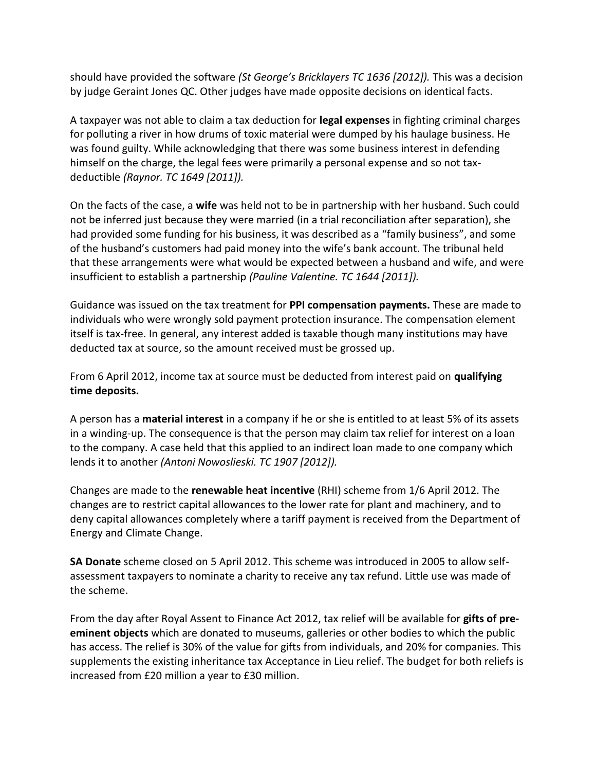should have provided the software *(St George's Bricklayers TC 1636 [2012])*. This was a decision by judge Geraint Jones QC. Other judges have made opposite decisions on identical facts.

A taxpayer was not able to claim a tax deduction for **legal expenses** in fighting criminal charges for polluting a river in how drums of toxic material were dumped by his haulage business. He was found guilty. While acknowledging that there was some business interest in defending himself on the charge, the legal fees were primarily a personal expense and so not taxdeductible *(Raynor. TC 1649 [2011]).*

On the facts of the case, a **wife** was held not to be in partnership with her husband. Such could not be inferred just because they were married (in a trial reconciliation after separation), she had provided some funding for his business, it was described as a "family business", and some of the husband's customers had paid money into the wife's bank account. The tribunal held that these arrangements were what would be expected between a husband and wife, and were insufficient to establish a partnership *(Pauline Valentine. TC 1644 [2011]).*

Guidance was issued on the tax treatment for **PPI compensation payments.** These are made to individuals who were wrongly sold payment protection insurance. The compensation element itself is tax-free. In general, any interest added is taxable though many institutions may have deducted tax at source, so the amount received must be grossed up.

From 6 April 2012, income tax at source must be deducted from interest paid on **qualifying time deposits.**

A person has a **material interest** in a company if he or she is entitled to at least 5% of its assets in a winding-up. The consequence is that the person may claim tax relief for interest on a loan to the company. A case held that this applied to an indirect loan made to one company which lends it to another *(Antoni Nowoslieski. TC 1907 [2012]).*

Changes are made to the **renewable heat incentive** (RHI) scheme from 1/6 April 2012. The changes are to restrict capital allowances to the lower rate for plant and machinery, and to deny capital allowances completely where a tariff payment is received from the Department of Energy and Climate Change.

**SA Donate** scheme closed on 5 April 2012. This scheme was introduced in 2005 to allow selfassessment taxpayers to nominate a charity to receive any tax refund. Little use was made of the scheme.

From the day after Royal Assent to Finance Act 2012, tax relief will be available for **gifts of preeminent objects** which are donated to museums, galleries or other bodies to which the public has access. The relief is 30% of the value for gifts from individuals, and 20% for companies. This supplements the existing inheritance tax Acceptance in Lieu relief. The budget for both reliefs is increased from £20 million a year to £30 million.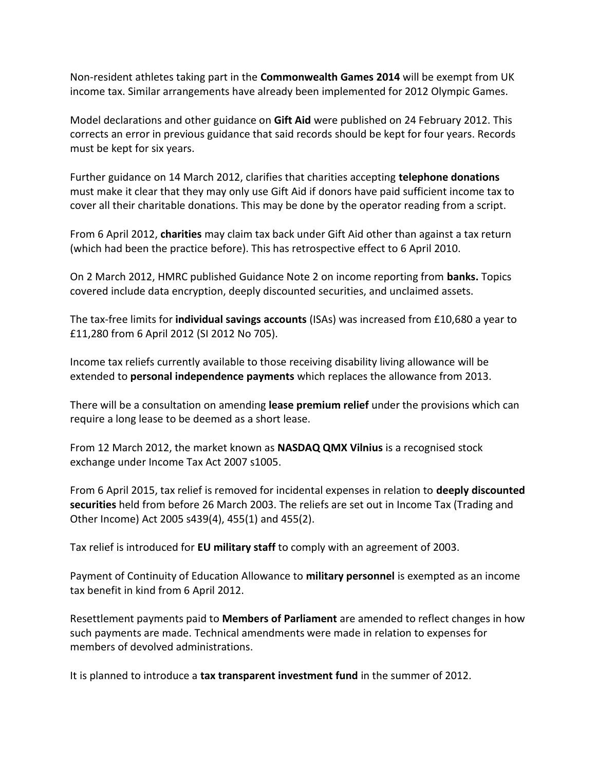Non-resident athletes taking part in the **Commonwealth Games 2014** will be exempt from UK income tax. Similar arrangements have already been implemented for 2012 Olympic Games.

Model declarations and other guidance on **Gift Aid** were published on 24 February 2012. This corrects an error in previous guidance that said records should be kept for four years. Records must be kept for six years.

Further guidance on 14 March 2012, clarifies that charities accepting **telephone donations**  must make it clear that they may only use Gift Aid if donors have paid sufficient income tax to cover all their charitable donations. This may be done by the operator reading from a script.

From 6 April 2012, **charities** may claim tax back under Gift Aid other than against a tax return (which had been the practice before). This has retrospective effect to 6 April 2010.

On 2 March 2012, HMRC published Guidance Note 2 on income reporting from **banks.** Topics covered include data encryption, deeply discounted securities, and unclaimed assets.

The tax-free limits for **individual savings accounts** (ISAs) was increased from £10,680 a year to £11,280 from 6 April 2012 (SI 2012 No 705).

Income tax reliefs currently available to those receiving disability living allowance will be extended to **personal independence payments** which replaces the allowance from 2013.

There will be a consultation on amending **lease premium relief** under the provisions which can require a long lease to be deemed as a short lease.

From 12 March 2012, the market known as **NASDAQ QMX Vilnius** is a recognised stock exchange under Income Tax Act 2007 s1005.

From 6 April 2015, tax relief is removed for incidental expenses in relation to **deeply discounted securities** held from before 26 March 2003. The reliefs are set out in Income Tax (Trading and Other Income) Act 2005 s439(4), 455(1) and 455(2).

Tax relief is introduced for **EU military staff** to comply with an agreement of 2003.

Payment of Continuity of Education Allowance to **military personnel** is exempted as an income tax benefit in kind from 6 April 2012.

Resettlement payments paid to **Members of Parliament** are amended to reflect changes in how such payments are made. Technical amendments were made in relation to expenses for members of devolved administrations.

It is planned to introduce a **tax transparent investment fund** in the summer of 2012.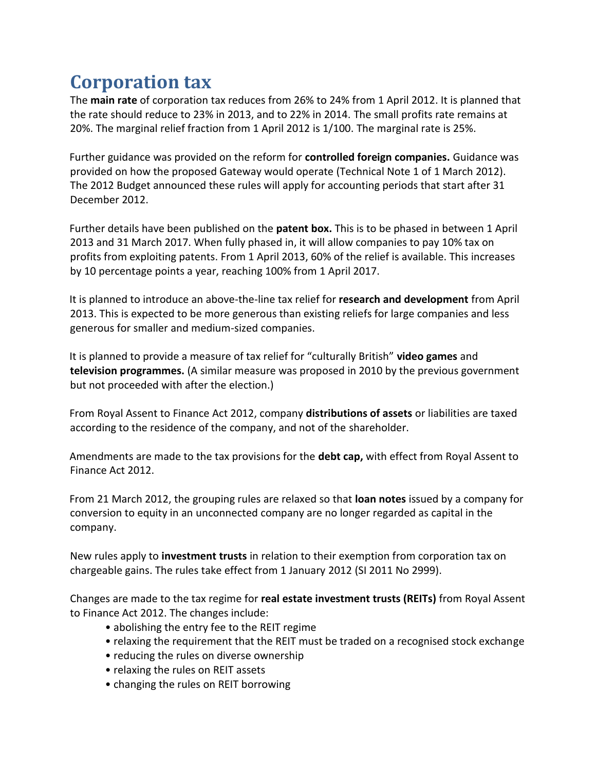## **Corporation tax**

The **main rate** of corporation tax reduces from 26% to 24% from 1 April 2012. It is planned that the rate should reduce to 23% in 2013, and to 22% in 2014. The small profits rate remains at 20%. The marginal relief fraction from 1 April 2012 is 1/100. The marginal rate is 25%.

Further guidance was provided on the reform for **controlled foreign companies.** Guidance was provided on how the proposed Gateway would operate (Technical Note 1 of 1 March 2012). The 2012 Budget announced these rules will apply for accounting periods that start after 31 December 2012.

Further details have been published on the **patent box.** This is to be phased in between 1 April 2013 and 31 March 2017. When fully phased in, it will allow companies to pay 10% tax on profits from exploiting patents. From 1 April 2013, 60% of the relief is available. This increases by 10 percentage points a year, reaching 100% from 1 April 2017.

It is planned to introduce an above-the-line tax relief for **research and development** from April 2013. This is expected to be more generous than existing reliefs for large companies and less generous for smaller and medium-sized companies.

It is planned to provide a measure of tax relief for "culturally British" **video games** and **television programmes.** (A similar measure was proposed in 2010 by the previous government but not proceeded with after the election.)

From Royal Assent to Finance Act 2012, company **distributions of assets** or liabilities are taxed according to the residence of the company, and not of the shareholder.

Amendments are made to the tax provisions for the **debt cap,** with effect from Royal Assent to Finance Act 2012.

From 21 March 2012, the grouping rules are relaxed so that **loan notes** issued by a company for conversion to equity in an unconnected company are no longer regarded as capital in the company.

New rules apply to **investment trusts** in relation to their exemption from corporation tax on chargeable gains. The rules take effect from 1 January 2012 (SI 2011 No 2999).

Changes are made to the tax regime for **real estate investment trusts (REITs)** from Royal Assent to Finance Act 2012. The changes include:

- abolishing the entry fee to the REIT regime
- relaxing the requirement that the REIT must be traded on a recognised stock exchange
- reducing the rules on diverse ownership
- relaxing the rules on REIT assets
- changing the rules on REIT borrowing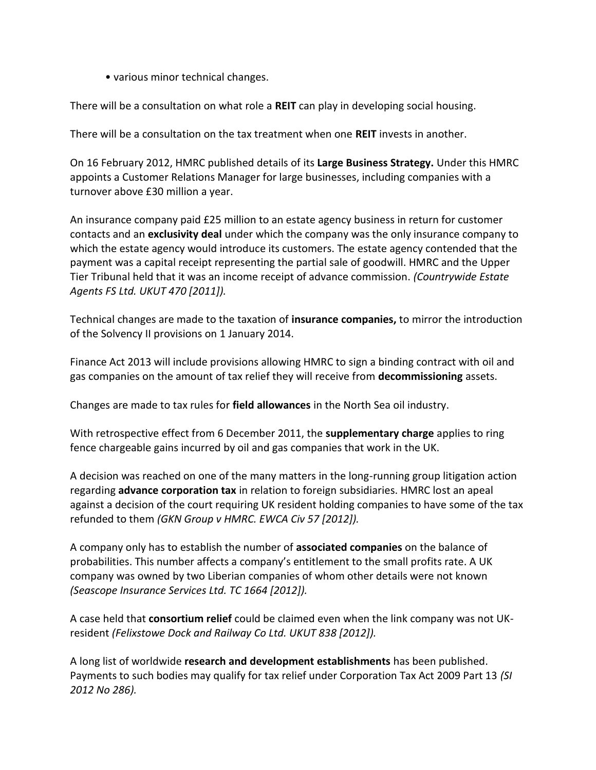• various minor technical changes.

There will be a consultation on what role a **REIT** can play in developing social housing.

There will be a consultation on the tax treatment when one **REIT** invests in another.

On 16 February 2012, HMRC published details of its **Large Business Strategy.** Under this HMRC appoints a Customer Relations Manager for large businesses, including companies with a turnover above £30 million a year.

An insurance company paid £25 million to an estate agency business in return for customer contacts and an **exclusivity deal** under which the company was the only insurance company to which the estate agency would introduce its customers. The estate agency contended that the payment was a capital receipt representing the partial sale of goodwill. HMRC and the Upper Tier Tribunal held that it was an income receipt of advance commission. *(Countrywide Estate Agents FS Ltd. UKUT 470 [2011]).*

Technical changes are made to the taxation of **insurance companies,** to mirror the introduction of the Solvency II provisions on 1 January 2014.

Finance Act 2013 will include provisions allowing HMRC to sign a binding contract with oil and gas companies on the amount of tax relief they will receive from **decommissioning** assets.

Changes are made to tax rules for **field allowances** in the North Sea oil industry.

With retrospective effect from 6 December 2011, the **supplementary charge** applies to ring fence chargeable gains incurred by oil and gas companies that work in the UK.

A decision was reached on one of the many matters in the long-running group litigation action regarding **advance corporation tax** in relation to foreign subsidiaries. HMRC lost an apeal against a decision of the court requiring UK resident holding companies to have some of the tax refunded to them *(GKN Group v HMRC. EWCA Civ 57 [2012]).*

A company only has to establish the number of **associated companies** on the balance of probabilities. This number affects a company's entitlement to the small profits rate. A UK company was owned by two Liberian companies of whom other details were not known *(Seascope Insurance Services Ltd. TC 1664 [2012]).*

A case held that **consortium relief** could be claimed even when the link company was not UKresident *(Felixstowe Dock and Railway Co Ltd. UKUT 838 [2012]).*

A long list of worldwide **research and development establishments** has been published. Payments to such bodies may qualify for tax relief under Corporation Tax Act 2009 Part 13 *(SI 2012 No 286).*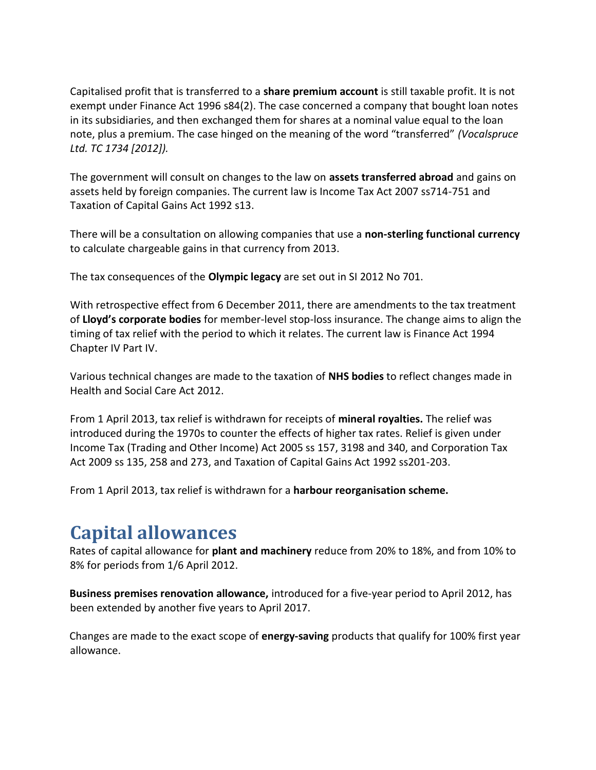Capitalised profit that is transferred to a **share premium account** is still taxable profit. It is not exempt under Finance Act 1996 s84(2). The case concerned a company that bought loan notes in its subsidiaries, and then exchanged them for shares at a nominal value equal to the loan note, plus a premium. The case hinged on the meaning of the word "transferred" *(Vocalspruce Ltd. TC 1734 [2012]).*

The government will consult on changes to the law on **assets transferred abroad** and gains on assets held by foreign companies. The current law is Income Tax Act 2007 ss714-751 and Taxation of Capital Gains Act 1992 s13.

There will be a consultation on allowing companies that use a **non-sterling functional currency**  to calculate chargeable gains in that currency from 2013.

The tax consequences of the **Olympic legacy** are set out in SI 2012 No 701.

With retrospective effect from 6 December 2011, there are amendments to the tax treatment of **Lloyd's corporate bodies** for member-level stop-loss insurance. The change aims to align the timing of tax relief with the period to which it relates. The current law is Finance Act 1994 Chapter IV Part IV.

Various technical changes are made to the taxation of **NHS bodies** to reflect changes made in Health and Social Care Act 2012.

From 1 April 2013, tax relief is withdrawn for receipts of **mineral royalties.** The relief was introduced during the 1970s to counter the effects of higher tax rates. Relief is given under Income Tax (Trading and Other Income) Act 2005 ss 157, 3198 and 340, and Corporation Tax Act 2009 ss 135, 258 and 273, and Taxation of Capital Gains Act 1992 ss201-203.

From 1 April 2013, tax relief is withdrawn for a **harbour reorganisation scheme.**

#### **Capital allowances**

Rates of capital allowance for **plant and machinery** reduce from 20% to 18%, and from 10% to 8% for periods from 1/6 April 2012.

**Business premises renovation allowance,** introduced for a five-year period to April 2012, has been extended by another five years to April 2017.

Changes are made to the exact scope of **energy-saving** products that qualify for 100% first year allowance.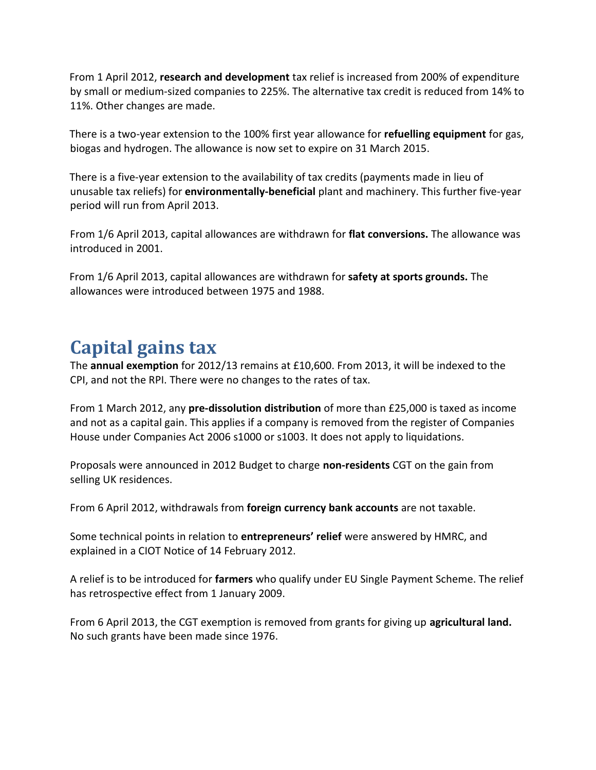From 1 April 2012, **research and development** tax relief is increased from 200% of expenditure by small or medium-sized companies to 225%. The alternative tax credit is reduced from 14% to 11%. Other changes are made.

There is a two-year extension to the 100% first year allowance for **refuelling equipment** for gas, biogas and hydrogen. The allowance is now set to expire on 31 March 2015.

There is a five-year extension to the availability of tax credits (payments made in lieu of unusable tax reliefs) for **environmentally-beneficial** plant and machinery. This further five-year period will run from April 2013.

From 1/6 April 2013, capital allowances are withdrawn for **flat conversions.** The allowance was introduced in 2001.

From 1/6 April 2013, capital allowances are withdrawn for **safety at sports grounds.** The allowances were introduced between 1975 and 1988.

## **Capital gains tax**

The **annual exemption** for 2012/13 remains at £10,600. From 2013, it will be indexed to the CPI, and not the RPI. There were no changes to the rates of tax.

From 1 March 2012, any **pre-dissolution distribution** of more than £25,000 is taxed as income and not as a capital gain. This applies if a company is removed from the register of Companies House under Companies Act 2006 s1000 or s1003. It does not apply to liquidations.

Proposals were announced in 2012 Budget to charge **non-residents** CGT on the gain from selling UK residences.

From 6 April 2012, withdrawals from **foreign currency bank accounts** are not taxable.

Some technical points in relation to **entrepreneurs' relief** were answered by HMRC, and explained in a CIOT Notice of 14 February 2012.

A relief is to be introduced for **farmers** who qualify under EU Single Payment Scheme. The relief has retrospective effect from 1 January 2009.

From 6 April 2013, the CGT exemption is removed from grants for giving up **agricultural land.**  No such grants have been made since 1976.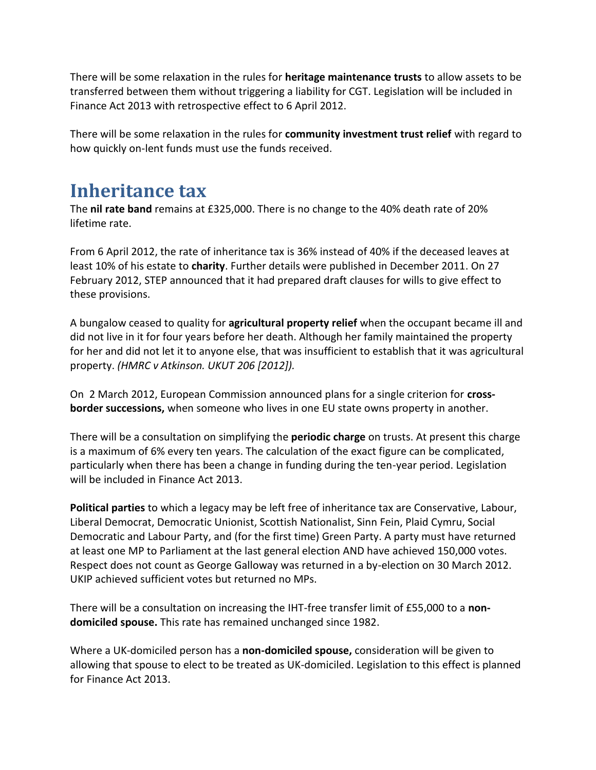There will be some relaxation in the rules for **heritage maintenance trusts** to allow assets to be transferred between them without triggering a liability for CGT. Legislation will be included in Finance Act 2013 with retrospective effect to 6 April 2012.

There will be some relaxation in the rules for **community investment trust relief** with regard to how quickly on-lent funds must use the funds received.

#### **Inheritance tax**

The **nil rate band** remains at £325,000. There is no change to the 40% death rate of 20% lifetime rate.

From 6 April 2012, the rate of inheritance tax is 36% instead of 40% if the deceased leaves at least 10% of his estate to **charity**. Further details were published in December 2011. On 27 February 2012, STEP announced that it had prepared draft clauses for wills to give effect to these provisions.

A bungalow ceased to quality for **agricultural property relief** when the occupant became ill and did not live in it for four years before her death. Although her family maintained the property for her and did not let it to anyone else, that was insufficient to establish that it was agricultural property. *(HMRC v Atkinson. UKUT 206 [2012]).*

On 2 March 2012, European Commission announced plans for a single criterion for **crossborder successions,** when someone who lives in one EU state owns property in another.

There will be a consultation on simplifying the **periodic charge** on trusts. At present this charge is a maximum of 6% every ten years. The calculation of the exact figure can be complicated, particularly when there has been a change in funding during the ten-year period. Legislation will be included in Finance Act 2013.

**Political parties** to which a legacy may be left free of inheritance tax are Conservative, Labour, Liberal Democrat, Democratic Unionist, Scottish Nationalist, Sinn Fein, Plaid Cymru, Social Democratic and Labour Party, and (for the first time) Green Party. A party must have returned at least one MP to Parliament at the last general election AND have achieved 150,000 votes. Respect does not count as George Galloway was returned in a by-election on 30 March 2012. UKIP achieved sufficient votes but returned no MPs.

There will be a consultation on increasing the IHT-free transfer limit of £55,000 to a **nondomiciled spouse.** This rate has remained unchanged since 1982.

Where a UK-domiciled person has a **non-domiciled spouse,** consideration will be given to allowing that spouse to elect to be treated as UK-domiciled. Legislation to this effect is planned for Finance Act 2013.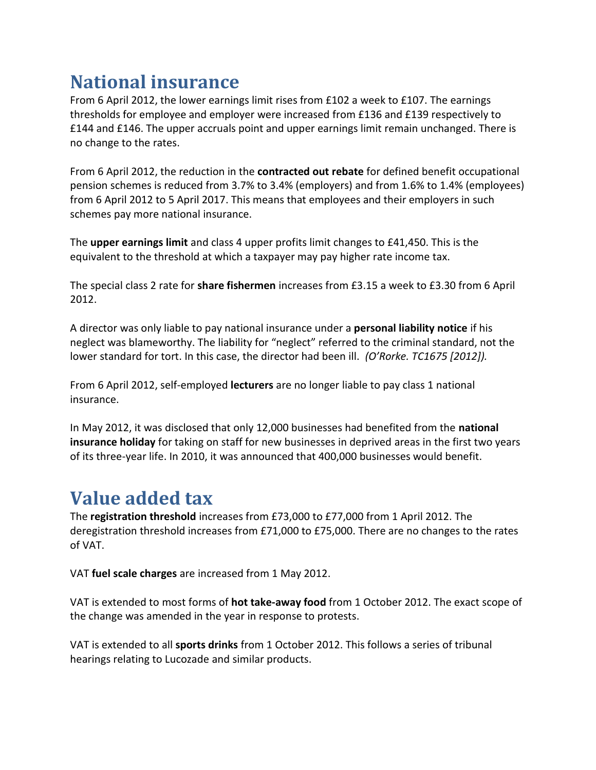## **National insurance**

From 6 April 2012, the lower earnings limit rises from £102 a week to £107. The earnings thresholds for employee and employer were increased from £136 and £139 respectively to £144 and £146. The upper accruals point and upper earnings limit remain unchanged. There is no change to the rates.

From 6 April 2012, the reduction in the **contracted out rebate** for defined benefit occupational pension schemes is reduced from 3.7% to 3.4% (employers) and from 1.6% to 1.4% (employees) from 6 April 2012 to 5 April 2017. This means that employees and their employers in such schemes pay more national insurance.

The **upper earnings limit** and class 4 upper profits limit changes to £41,450. This is the equivalent to the threshold at which a taxpayer may pay higher rate income tax.

The special class 2 rate for **share fishermen** increases from £3.15 a week to £3.30 from 6 April 2012.

A director was only liable to pay national insurance under a **personal liability notice** if his neglect was blameworthy. The liability for "neglect" referred to the criminal standard, not the lower standard for tort. In this case, the director had been ill. *(O'Rorke. TC1675 [2012]).* 

From 6 April 2012, self-employed **lecturers** are no longer liable to pay class 1 national insurance.

In May 2012, it was disclosed that only 12,000 businesses had benefited from the **national insurance holiday** for taking on staff for new businesses in deprived areas in the first two years of its three-year life. In 2010, it was announced that 400,000 businesses would benefit.

## **Value added tax**

The **registration threshold** increases from £73,000 to £77,000 from 1 April 2012. The deregistration threshold increases from £71,000 to £75,000. There are no changes to the rates of VAT.

VAT **fuel scale charges** are increased from 1 May 2012.

VAT is extended to most forms of **hot take-away food** from 1 October 2012. The exact scope of the change was amended in the year in response to protests.

VAT is extended to all **sports drinks** from 1 October 2012. This follows a series of tribunal hearings relating to Lucozade and similar products.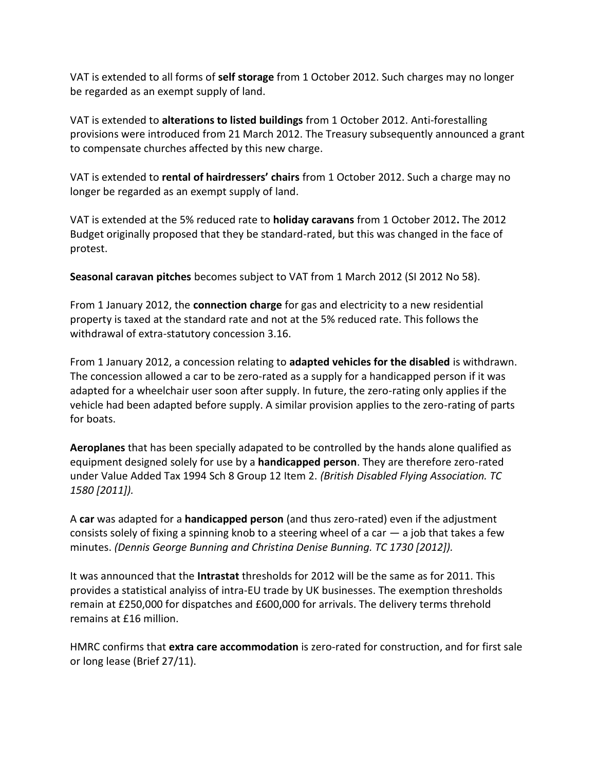VAT is extended to all forms of **self storage** from 1 October 2012. Such charges may no longer be regarded as an exempt supply of land.

VAT is extended to **alterations to listed buildings** from 1 October 2012. Anti-forestalling provisions were introduced from 21 March 2012. The Treasury subsequently announced a grant to compensate churches affected by this new charge.

VAT is extended to **rental of hairdressers' chairs** from 1 October 2012. Such a charge may no longer be regarded as an exempt supply of land.

VAT is extended at the 5% reduced rate to **holiday caravans** from 1 October 2012**.** The 2012 Budget originally proposed that they be standard-rated, but this was changed in the face of protest.

**Seasonal caravan pitches** becomes subject to VAT from 1 March 2012 (SI 2012 No 58).

From 1 January 2012, the **connection charge** for gas and electricity to a new residential property is taxed at the standard rate and not at the 5% reduced rate. This follows the withdrawal of extra-statutory concession 3.16.

From 1 January 2012, a concession relating to **adapted vehicles for the disabled** is withdrawn. The concession allowed a car to be zero-rated as a supply for a handicapped person if it was adapted for a wheelchair user soon after supply. In future, the zero-rating only applies if the vehicle had been adapted before supply. A similar provision applies to the zero-rating of parts for boats.

**Aeroplanes** that has been specially adapated to be controlled by the hands alone qualified as equipment designed solely for use by a **handicapped person**. They are therefore zero-rated under Value Added Tax 1994 Sch 8 Group 12 Item 2. *(British Disabled Flying Association. TC 1580 [2011]).*

A **car** was adapted for a **handicapped person** (and thus zero-rated) even if the adjustment consists solely of fixing a spinning knob to a steering wheel of a car  $-$  a job that takes a few minutes. *(Dennis George Bunning and Christina Denise Bunning. TC 1730 [2012]).*

It was announced that the **Intrastat** thresholds for 2012 will be the same as for 2011. This provides a statistical analyiss of intra-EU trade by UK businesses. The exemption thresholds remain at £250,000 for dispatches and £600,000 for arrivals. The delivery terms threhold remains at £16 million.

HMRC confirms that **extra care accommodation** is zero-rated for construction, and for first sale or long lease (Brief 27/11).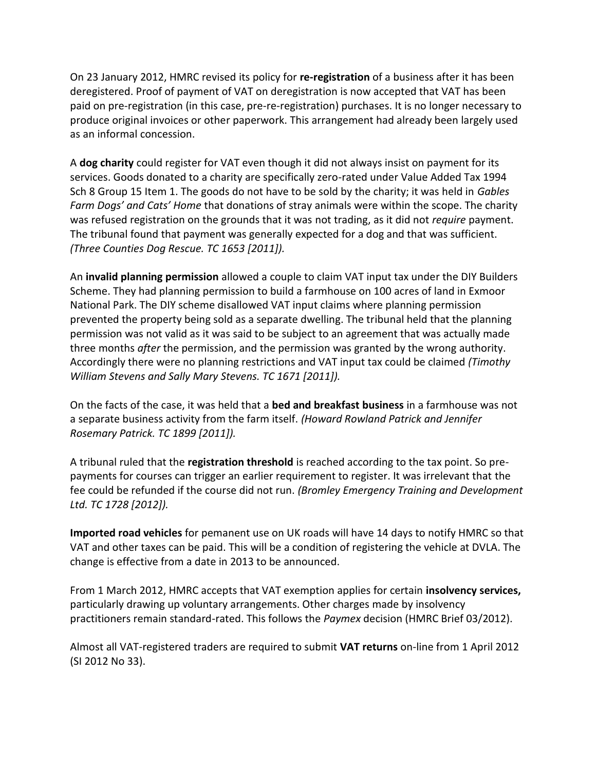On 23 January 2012, HMRC revised its policy for **re-registration** of a business after it has been deregistered. Proof of payment of VAT on deregistration is now accepted that VAT has been paid on pre-registration (in this case, pre-re-registration) purchases. It is no longer necessary to produce original invoices or other paperwork. This arrangement had already been largely used as an informal concession.

A **dog charity** could register for VAT even though it did not always insist on payment for its services. Goods donated to a charity are specifically zero-rated under Value Added Tax 1994 Sch 8 Group 15 Item 1. The goods do not have to be sold by the charity; it was held in *Gables Farm Dogs' and Cats' Home* that donations of stray animals were within the scope. The charity was refused registration on the grounds that it was not trading, as it did not *require* payment. The tribunal found that payment was generally expected for a dog and that was sufficient. *(Three Counties Dog Rescue. TC 1653 [2011]).*

An **invalid planning permission** allowed a couple to claim VAT input tax under the DIY Builders Scheme. They had planning permission to build a farmhouse on 100 acres of land in Exmoor National Park. The DIY scheme disallowed VAT input claims where planning permission prevented the property being sold as a separate dwelling. The tribunal held that the planning permission was not valid as it was said to be subject to an agreement that was actually made three months *after* the permission, and the permission was granted by the wrong authority. Accordingly there were no planning restrictions and VAT input tax could be claimed *(Timothy William Stevens and Sally Mary Stevens. TC 1671 [2011]).*

On the facts of the case, it was held that a **bed and breakfast business** in a farmhouse was not a separate business activity from the farm itself. *(Howard Rowland Patrick and Jennifer Rosemary Patrick. TC 1899 [2011]).*

A tribunal ruled that the **registration threshold** is reached according to the tax point. So prepayments for courses can trigger an earlier requirement to register. It was irrelevant that the fee could be refunded if the course did not run. *(Bromley Emergency Training and Development Ltd. TC 1728 [2012]).*

**Imported road vehicles** for pemanent use on UK roads will have 14 days to notify HMRC so that VAT and other taxes can be paid. This will be a condition of registering the vehicle at DVLA. The change is effective from a date in 2013 to be announced.

From 1 March 2012, HMRC accepts that VAT exemption applies for certain **insolvency services,**  particularly drawing up voluntary arrangements. Other charges made by insolvency practitioners remain standard-rated. This follows the *Paymex* decision (HMRC Brief 03/2012).

Almost all VAT-registered traders are required to submit **VAT returns** on-line from 1 April 2012 (SI 2012 No 33).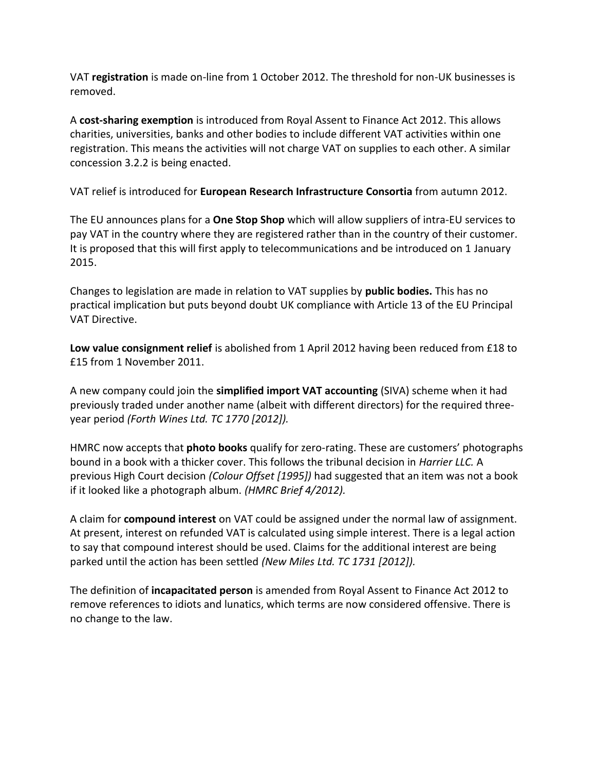VAT **registration** is made on-line from 1 October 2012. The threshold for non-UK businesses is removed.

A **cost-sharing exemption** is introduced from Royal Assent to Finance Act 2012. This allows charities, universities, banks and other bodies to include different VAT activities within one registration. This means the activities will not charge VAT on supplies to each other. A similar concession 3.2.2 is being enacted.

VAT relief is introduced for **European Research Infrastructure Consortia** from autumn 2012.

The EU announces plans for a **One Stop Shop** which will allow suppliers of intra-EU services to pay VAT in the country where they are registered rather than in the country of their customer. It is proposed that this will first apply to telecommunications and be introduced on 1 January 2015.

Changes to legislation are made in relation to VAT supplies by **public bodies.** This has no practical implication but puts beyond doubt UK compliance with Article 13 of the EU Principal VAT Directive.

**Low value consignment relief** is abolished from 1 April 2012 having been reduced from £18 to £15 from 1 November 2011.

A new company could join the **simplified import VAT accounting** (SIVA) scheme when it had previously traded under another name (albeit with different directors) for the required threeyear period *(Forth Wines Ltd. TC 1770 [2012]).*

HMRC now accepts that **photo books** qualify for zero-rating. These are customers' photographs bound in a book with a thicker cover. This follows the tribunal decision in *Harrier LLC.* A previous High Court decision *(Colour Offset [1995])* had suggested that an item was not a book if it looked like a photograph album. *(HMRC Brief 4/2012).*

A claim for **compound interest** on VAT could be assigned under the normal law of assignment. At present, interest on refunded VAT is calculated using simple interest. There is a legal action to say that compound interest should be used. Claims for the additional interest are being parked until the action has been settled *(New Miles Ltd. TC 1731 [2012]).*

The definition of **incapacitated person** is amended from Royal Assent to Finance Act 2012 to remove references to idiots and lunatics, which terms are now considered offensive. There is no change to the law.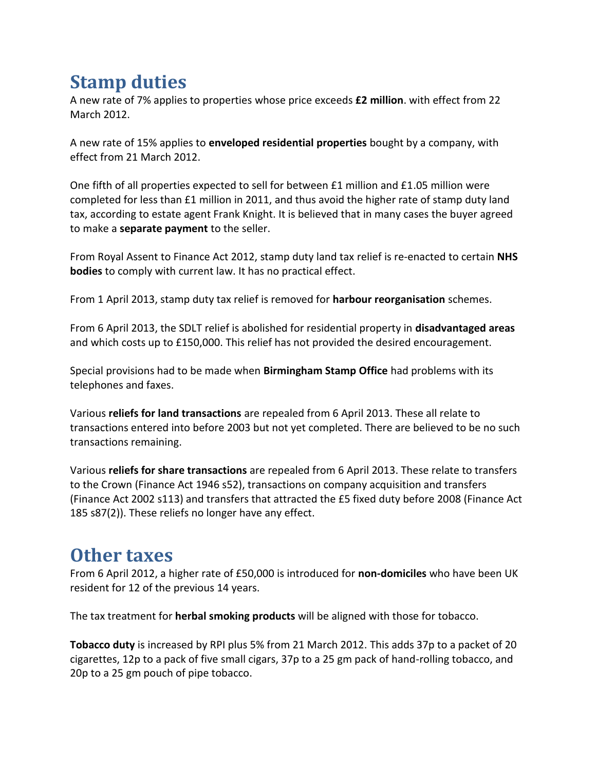## **Stamp duties**

A new rate of 7% applies to properties whose price exceeds **£2 million**. with effect from 22 March 2012.

A new rate of 15% applies to **enveloped residential properties** bought by a company, with effect from 21 March 2012.

One fifth of all properties expected to sell for between £1 million and £1.05 million were completed for less than £1 million in 2011, and thus avoid the higher rate of stamp duty land tax, according to estate agent Frank Knight. It is believed that in many cases the buyer agreed to make a **separate payment** to the seller.

From Royal Assent to Finance Act 2012, stamp duty land tax relief is re-enacted to certain **NHS bodies** to comply with current law. It has no practical effect.

From 1 April 2013, stamp duty tax relief is removed for **harbour reorganisation** schemes.

From 6 April 2013, the SDLT relief is abolished for residential property in **disadvantaged areas**  and which costs up to £150,000. This relief has not provided the desired encouragement.

Special provisions had to be made when **Birmingham Stamp Office** had problems with its telephones and faxes.

Various **reliefs for land transactions** are repealed from 6 April 2013. These all relate to transactions entered into before 2003 but not yet completed. There are believed to be no such transactions remaining.

Various **reliefs for share transactions** are repealed from 6 April 2013. These relate to transfers to the Crown (Finance Act 1946 s52), transactions on company acquisition and transfers (Finance Act 2002 s113) and transfers that attracted the £5 fixed duty before 2008 (Finance Act 185 s87(2)). These reliefs no longer have any effect.

## **Other taxes**

From 6 April 2012, a higher rate of £50,000 is introduced for **non-domiciles** who have been UK resident for 12 of the previous 14 years.

The tax treatment for **herbal smoking products** will be aligned with those for tobacco.

**Tobacco duty** is increased by RPI plus 5% from 21 March 2012. This adds 37p to a packet of 20 cigarettes, 12p to a pack of five small cigars, 37p to a 25 gm pack of hand-rolling tobacco, and 20p to a 25 gm pouch of pipe tobacco.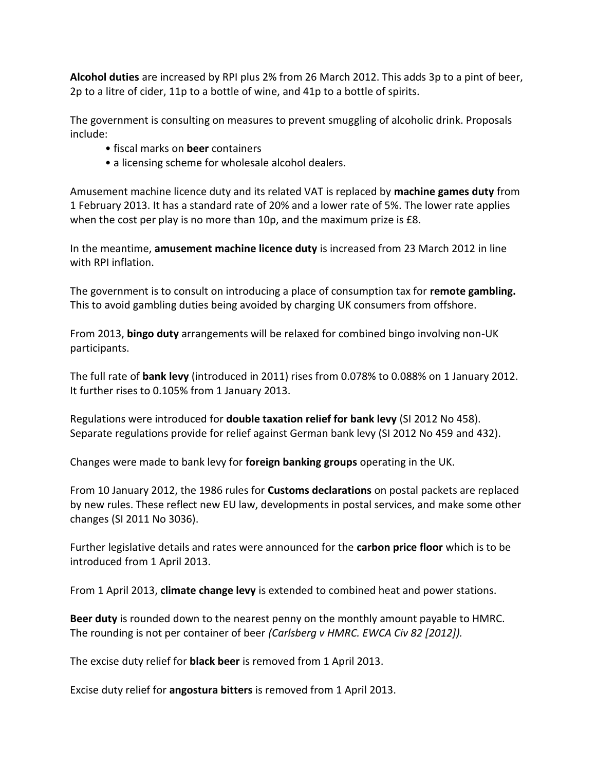**Alcohol duties** are increased by RPI plus 2% from 26 March 2012. This adds 3p to a pint of beer, 2p to a litre of cider, 11p to a bottle of wine, and 41p to a bottle of spirits.

The government is consulting on measures to prevent smuggling of alcoholic drink. Proposals include:

- fiscal marks on **beer** containers
- a licensing scheme for wholesale alcohol dealers.

Amusement machine licence duty and its related VAT is replaced by **machine games duty** from 1 February 2013. It has a standard rate of 20% and a lower rate of 5%. The lower rate applies when the cost per play is no more than 10p, and the maximum prize is £8.

In the meantime, **amusement machine licence duty** is increased from 23 March 2012 in line with RPI inflation.

The government is to consult on introducing a place of consumption tax for **remote gambling.**  This to avoid gambling duties being avoided by charging UK consumers from offshore.

From 2013, **bingo duty** arrangements will be relaxed for combined bingo involving non-UK participants.

The full rate of **bank levy** (introduced in 2011) rises from 0.078% to 0.088% on 1 January 2012. It further rises to 0.105% from 1 January 2013.

Regulations were introduced for **double taxation relief for bank levy** (SI 2012 No 458). Separate regulations provide for relief against German bank levy (SI 2012 No 459 and 432).

Changes were made to bank levy for **foreign banking groups** operating in the UK.

From 10 January 2012, the 1986 rules for **Customs declarations** on postal packets are replaced by new rules. These reflect new EU law, developments in postal services, and make some other changes (SI 2011 No 3036).

Further legislative details and rates were announced for the **carbon price floor** which is to be introduced from 1 April 2013.

From 1 April 2013, **climate change levy** is extended to combined heat and power stations.

**Beer duty** is rounded down to the nearest penny on the monthly amount payable to HMRC. The rounding is not per container of beer *(Carlsberg v HMRC. EWCA Civ 82 [2012]).*

The excise duty relief for **black beer** is removed from 1 April 2013.

Excise duty relief for **angostura bitters** is removed from 1 April 2013.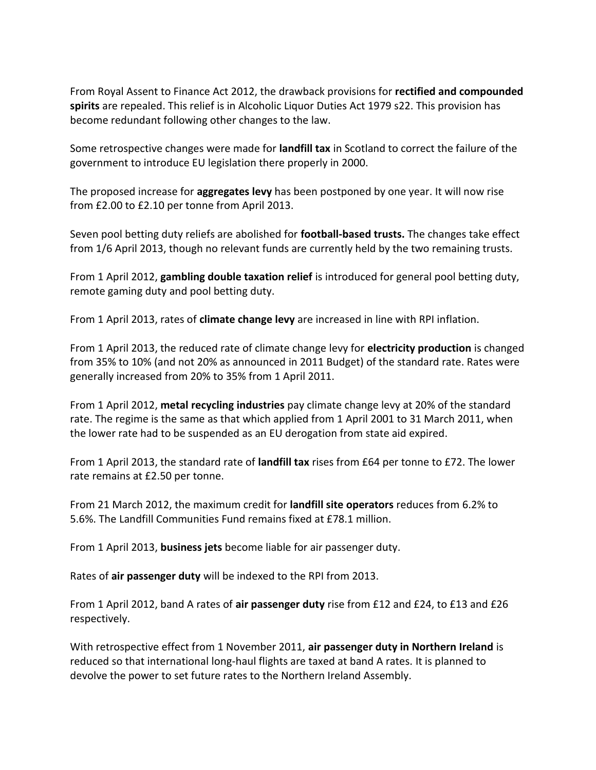From Royal Assent to Finance Act 2012, the drawback provisions for **rectified and compounded spirits** are repealed. This relief is in Alcoholic Liquor Duties Act 1979 s22. This provision has become redundant following other changes to the law.

Some retrospective changes were made for **landfill tax** in Scotland to correct the failure of the government to introduce EU legislation there properly in 2000.

The proposed increase for **aggregates levy** has been postponed by one year. It will now rise from £2.00 to £2.10 per tonne from April 2013.

Seven pool betting duty reliefs are abolished for **football-based trusts.** The changes take effect from 1/6 April 2013, though no relevant funds are currently held by the two remaining trusts.

From 1 April 2012, **gambling double taxation relief** is introduced for general pool betting duty, remote gaming duty and pool betting duty.

From 1 April 2013, rates of **climate change levy** are increased in line with RPI inflation.

From 1 April 2013, the reduced rate of climate change levy for **electricity production** is changed from 35% to 10% (and not 20% as announced in 2011 Budget) of the standard rate. Rates were generally increased from 20% to 35% from 1 April 2011.

From 1 April 2012, **metal recycling industries** pay climate change levy at 20% of the standard rate. The regime is the same as that which applied from 1 April 2001 to 31 March 2011, when the lower rate had to be suspended as an EU derogation from state aid expired.

From 1 April 2013, the standard rate of **landfill tax** rises from £64 per tonne to £72. The lower rate remains at £2.50 per tonne.

From 21 March 2012, the maximum credit for **landfill site operators** reduces from 6.2% to 5.6%. The Landfill Communities Fund remains fixed at £78.1 million.

From 1 April 2013, **business jets** become liable for air passenger duty.

Rates of **air passenger duty** will be indexed to the RPI from 2013.

From 1 April 2012, band A rates of **air passenger duty** rise from £12 and £24, to £13 and £26 respectively.

With retrospective effect from 1 November 2011, **air passenger duty in Northern Ireland** is reduced so that international long-haul flights are taxed at band A rates. It is planned to devolve the power to set future rates to the Northern Ireland Assembly.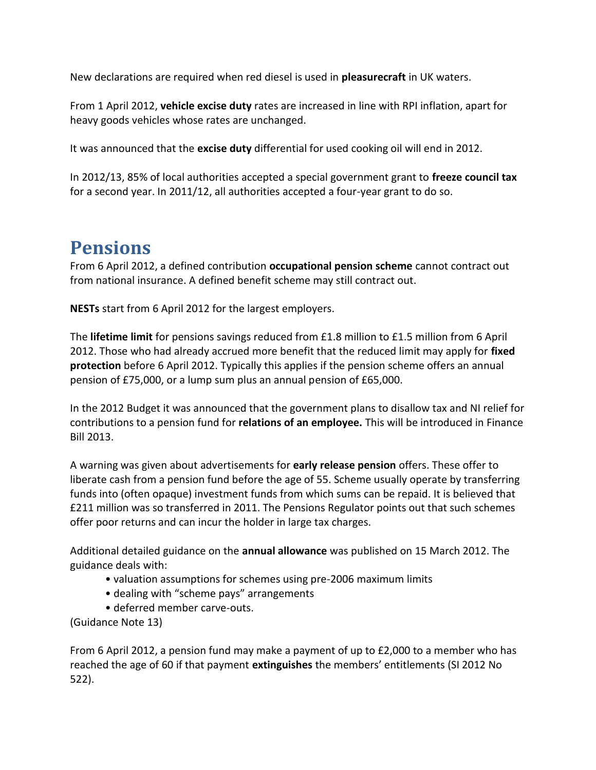New declarations are required when red diesel is used in **pleasurecraft** in UK waters.

From 1 April 2012, **vehicle excise duty** rates are increased in line with RPI inflation, apart for heavy goods vehicles whose rates are unchanged.

It was announced that the **excise duty** differential for used cooking oil will end in 2012.

In 2012/13, 85% of local authorities accepted a special government grant to **freeze council tax**  for a second year. In 2011/12, all authorities accepted a four-year grant to do so.

#### **Pensions**

From 6 April 2012, a defined contribution **occupational pension scheme** cannot contract out from national insurance. A defined benefit scheme may still contract out.

**NESTs** start from 6 April 2012 for the largest employers.

The **lifetime limit** for pensions savings reduced from £1.8 million to £1.5 million from 6 April 2012. Those who had already accrued more benefit that the reduced limit may apply for **fixed protection** before 6 April 2012. Typically this applies if the pension scheme offers an annual pension of £75,000, or a lump sum plus an annual pension of £65,000.

In the 2012 Budget it was announced that the government plans to disallow tax and NI relief for contributions to a pension fund for **relations of an employee.** This will be introduced in Finance Bill 2013.

A warning was given about advertisements for **early release pension** offers. These offer to liberate cash from a pension fund before the age of 55. Scheme usually operate by transferring funds into (often opaque) investment funds from which sums can be repaid. It is believed that £211 million was so transferred in 2011. The Pensions Regulator points out that such schemes offer poor returns and can incur the holder in large tax charges.

Additional detailed guidance on the **annual allowance** was published on 15 March 2012. The guidance deals with:

- valuation assumptions for schemes using pre-2006 maximum limits
- dealing with "scheme pays" arrangements
- deferred member carve-outs.

(Guidance Note 13)

From 6 April 2012, a pension fund may make a payment of up to £2,000 to a member who has reached the age of 60 if that payment **extinguishes** the members' entitlements (SI 2012 No 522).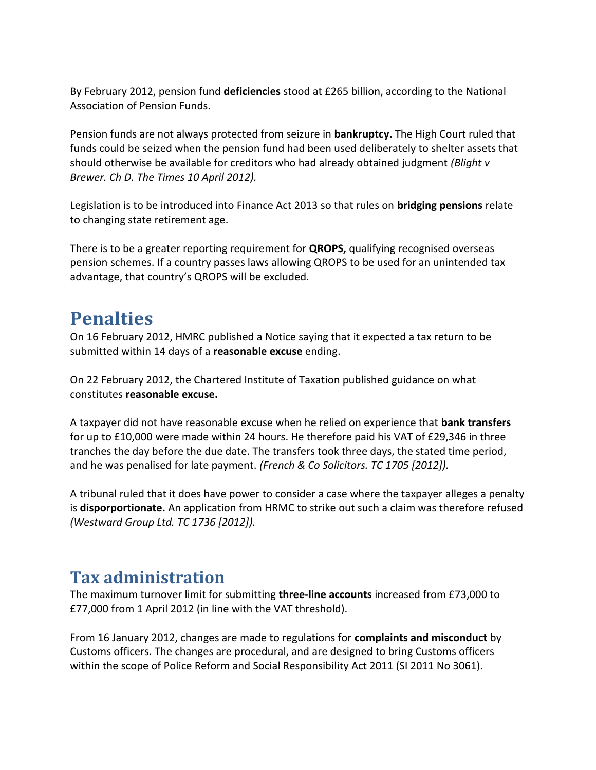By February 2012, pension fund **deficiencies** stood at £265 billion, according to the National Association of Pension Funds.

Pension funds are not always protected from seizure in **bankruptcy.** The High Court ruled that funds could be seized when the pension fund had been used deliberately to shelter assets that should otherwise be available for creditors who had already obtained judgment *(Blight v Brewer. Ch D. The Times 10 April 2012).*

Legislation is to be introduced into Finance Act 2013 so that rules on **bridging pensions** relate to changing state retirement age.

There is to be a greater reporting requirement for **QROPS,** qualifying recognised overseas pension schemes. If a country passes laws allowing QROPS to be used for an unintended tax advantage, that country's QROPS will be excluded.

## **Penalties**

On 16 February 2012, HMRC published a Notice saying that it expected a tax return to be submitted within 14 days of a **reasonable excuse** ending.

On 22 February 2012, the Chartered Institute of Taxation published guidance on what constitutes **reasonable excuse.**

A taxpayer did not have reasonable excuse when he relied on experience that **bank transfers**  for up to £10,000 were made within 24 hours. He therefore paid his VAT of £29,346 in three tranches the day before the due date. The transfers took three days, the stated time period, and he was penalised for late payment. *(French & Co Solicitors. TC 1705 [2012]).*

A tribunal ruled that it does have power to consider a case where the taxpayer alleges a penalty is **disporportionate.** An application from HRMC to strike out such a claim was therefore refused *(Westward Group Ltd. TC 1736 [2012]).*

#### **Tax administration**

The maximum turnover limit for submitting **three-line accounts** increased from £73,000 to £77,000 from 1 April 2012 (in line with the VAT threshold).

From 16 January 2012, changes are made to regulations for **complaints and misconduct** by Customs officers. The changes are procedural, and are designed to bring Customs officers within the scope of Police Reform and Social Responsibility Act 2011 (SI 2011 No 3061).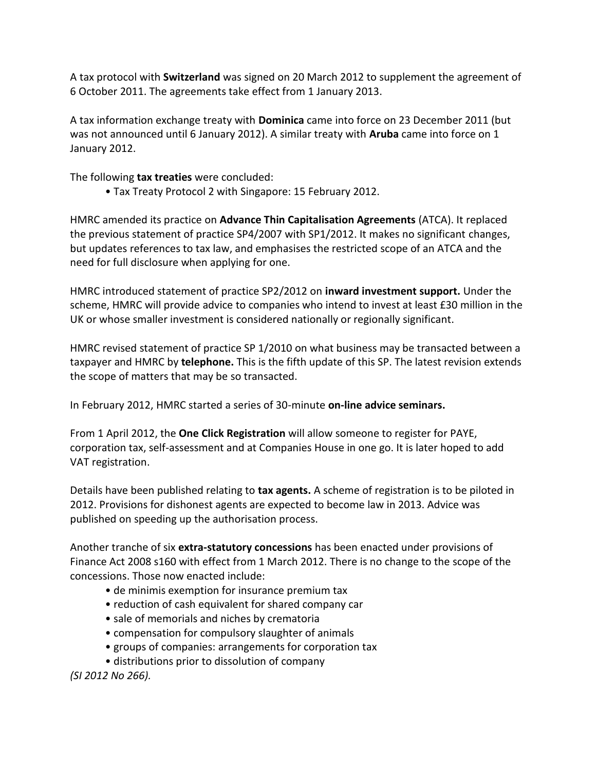A tax protocol with **Switzerland** was signed on 20 March 2012 to supplement the agreement of 6 October 2011. The agreements take effect from 1 January 2013.

A tax information exchange treaty with **Dominica** came into force on 23 December 2011 (but was not announced until 6 January 2012). A similar treaty with **Aruba** came into force on 1 January 2012.

The following **tax treaties** were concluded:

• Tax Treaty Protocol 2 with Singapore: 15 February 2012.

HMRC amended its practice on **Advance Thin Capitalisation Agreements** (ATCA). It replaced the previous statement of practice SP4/2007 with SP1/2012. It makes no significant changes, but updates references to tax law, and emphasises the restricted scope of an ATCA and the need for full disclosure when applying for one.

HMRC introduced statement of practice SP2/2012 on **inward investment support.** Under the scheme, HMRC will provide advice to companies who intend to invest at least £30 million in the UK or whose smaller investment is considered nationally or regionally significant.

HMRC revised statement of practice SP 1/2010 on what business may be transacted between a taxpayer and HMRC by **telephone.** This is the fifth update of this SP. The latest revision extends the scope of matters that may be so transacted.

In February 2012, HMRC started a series of 30-minute **on-line advice seminars.**

From 1 April 2012, the **One Click Registration** will allow someone to register for PAYE, corporation tax, self-assessment and at Companies House in one go. It is later hoped to add VAT registration.

Details have been published relating to **tax agents.** A scheme of registration is to be piloted in 2012. Provisions for dishonest agents are expected to become law in 2013. Advice was published on speeding up the authorisation process.

Another tranche of six **extra-statutory concessions** has been enacted under provisions of Finance Act 2008 s160 with effect from 1 March 2012. There is no change to the scope of the concessions. Those now enacted include:

- de minimis exemption for insurance premium tax
- reduction of cash equivalent for shared company car
- sale of memorials and niches by crematoria
- compensation for compulsory slaughter of animals
- groups of companies: arrangements for corporation tax
- distributions prior to dissolution of company

*(SI 2012 No 266).*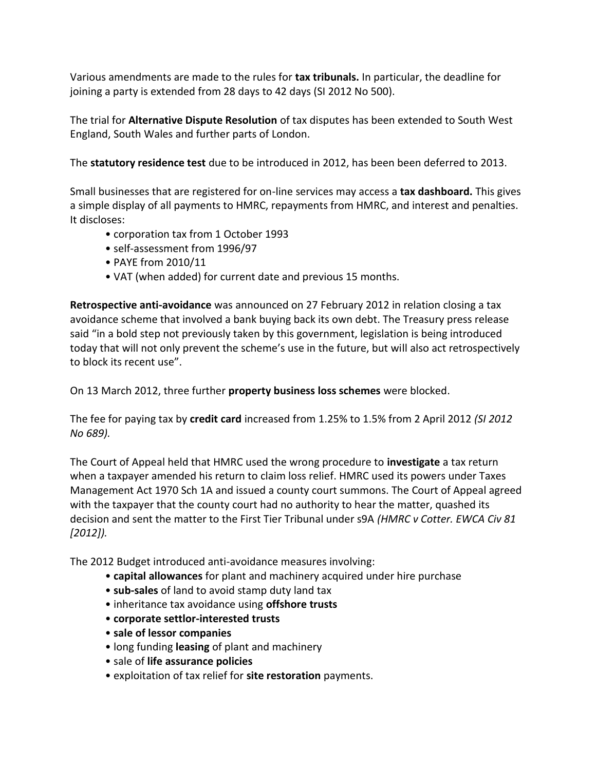Various amendments are made to the rules for **tax tribunals.** In particular, the deadline for joining a party is extended from 28 days to 42 days (SI 2012 No 500).

The trial for **Alternative Dispute Resolution** of tax disputes has been extended to South West England, South Wales and further parts of London.

The **statutory residence test** due to be introduced in 2012, has been been deferred to 2013.

Small businesses that are registered for on-line services may access a **tax dashboard.** This gives a simple display of all payments to HMRC, repayments from HMRC, and interest and penalties. It discloses:

- corporation tax from 1 October 1993
- self-assessment from 1996/97
- PAYE from 2010/11
- VAT (when added) for current date and previous 15 months.

**Retrospective anti-avoidance** was announced on 27 February 2012 in relation closing a tax avoidance scheme that involved a bank buying back its own debt. The Treasury press release said "in a bold step not previously taken by this government, legislation is being introduced today that will not only prevent the scheme's use in the future, but will also act retrospectively to block its recent use".

On 13 March 2012, three further **property business loss schemes** were blocked.

The fee for paying tax by **credit card** increased from 1.25% to 1.5% from 2 April 2012 *(SI 2012 No 689).*

The Court of Appeal held that HMRC used the wrong procedure to **investigate** a tax return when a taxpayer amended his return to claim loss relief. HMRC used its powers under Taxes Management Act 1970 Sch 1A and issued a county court summons. The Court of Appeal agreed with the taxpayer that the county court had no authority to hear the matter, quashed its decision and sent the matter to the First Tier Tribunal under s9A *(HMRC v Cotter. EWCA Civ 81 [2012]).*

The 2012 Budget introduced anti-avoidance measures involving:

- **capital allowances** for plant and machinery acquired under hire purchase
- **sub-sales** of land to avoid stamp duty land tax
- inheritance tax avoidance using **offshore trusts**
- **corporate settlor-interested trusts**
- **sale of lessor companies**
- long funding **leasing** of plant and machinery
- sale of **life assurance policies**
- exploitation of tax relief for **site restoration** payments.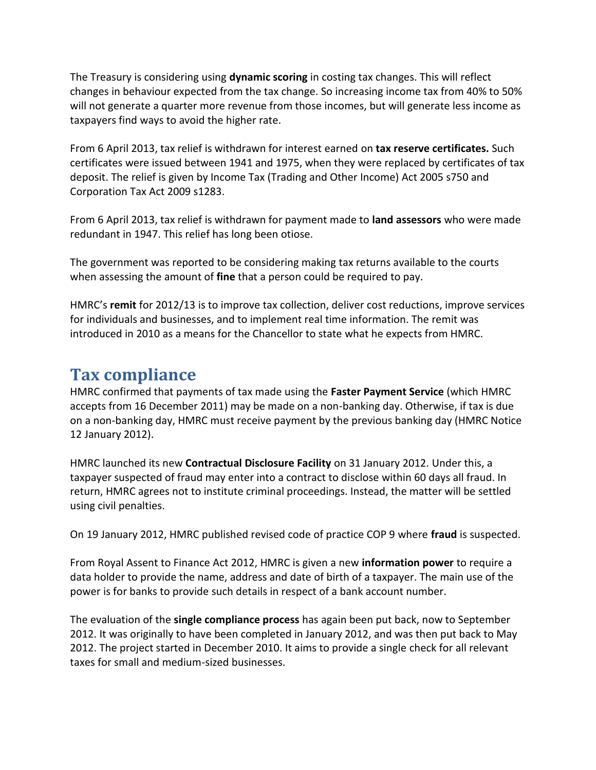The Treasury is considering using **dynamic scoring** in costing tax changes. This will reflect changes in behaviour expected from the tax change. So increasing income tax from 40% to 50% will not generate a quarter more revenue from those incomes, but will generate less income as taxpayers find ways to avoid the higher rate.

From 6 April 2013, tax relief is withdrawn for interest earned on **tax reserve certificates.** Such certificates were issued between 1941 and 1975, when they were replaced by certificates of tax deposit. The relief is given by Income Tax (Trading and Other Income) Act 2005 s750 and Corporation Tax Act 2009 s1283.

From 6 April 2013, tax relief is withdrawn for payment made to **land assessors** who were made redundant in 1947. This relief has long been otiose.

The government was reported to be considering making tax returns available to the courts when assessing the amount of **fine** that a person could be required to pay.

HMRC's **remit** for 2012/13 is to improve tax collection, deliver cost reductions, improve services for individuals and businesses, and to implement real time information. The remit was introduced in 2010 as a means for the Chancellor to state what he expects from HMRC.

#### **Tax compliance**

HMRC confirmed that payments of tax made using the **Faster Payment Service** (which HMRC accepts from 16 December 2011) may be made on a non-banking day. Otherwise, if tax is due on a non-banking day, HMRC must receive payment by the previous banking day (HMRC Notice 12 January 2012).

HMRC launched its new **Contractual Disclosure Facility** on 31 January 2012. Under this, a taxpayer suspected of fraud may enter into a contract to disclose within 60 days all fraud. In return, HMRC agrees not to institute criminal proceedings. Instead, the matter will be settled using civil penalties.

On 19 January 2012, HMRC published revised code of practice COP 9 where **fraud** is suspected.

From Royal Assent to Finance Act 2012, HMRC is given a new **information power** to require a data holder to provide the name, address and date of birth of a taxpayer. The main use of the power is for banks to provide such details in respect of a bank account number.

The evaluation of the **single compliance process** has again been put back, now to September 2012. It was originally to have been completed in January 2012, and was then put back to May 2012. The project started in December 2010. It aims to provide a single check for all relevant taxes for small and medium-sized businesses.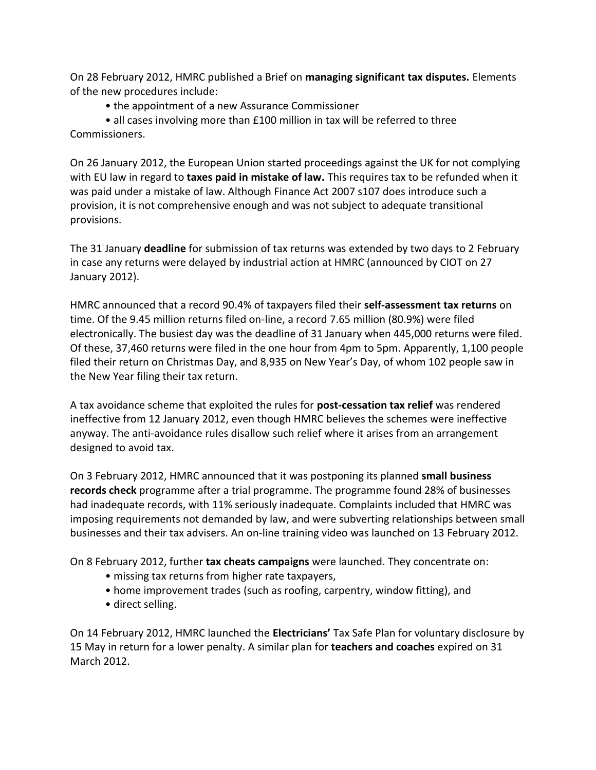On 28 February 2012, HMRC published a Brief on **managing significant tax disputes.** Elements of the new procedures include:

• the appointment of a new Assurance Commissioner

• all cases involving more than £100 million in tax will be referred to three Commissioners.

On 26 January 2012, the European Union started proceedings against the UK for not complying with EU law in regard to **taxes paid in mistake of law.** This requires tax to be refunded when it was paid under a mistake of law. Although Finance Act 2007 s107 does introduce such a provision, it is not comprehensive enough and was not subject to adequate transitional provisions.

The 31 January **deadline** for submission of tax returns was extended by two days to 2 February in case any returns were delayed by industrial action at HMRC (announced by CIOT on 27 January 2012).

HMRC announced that a record 90.4% of taxpayers filed their **self-assessment tax returns** on time. Of the 9.45 million returns filed on-line, a record 7.65 million (80.9%) were filed electronically. The busiest day was the deadline of 31 January when 445,000 returns were filed. Of these, 37,460 returns were filed in the one hour from 4pm to 5pm. Apparently, 1,100 people filed their return on Christmas Day, and 8,935 on New Year's Day, of whom 102 people saw in the New Year filing their tax return.

A tax avoidance scheme that exploited the rules for **post-cessation tax relief** was rendered ineffective from 12 January 2012, even though HMRC believes the schemes were ineffective anyway. The anti-avoidance rules disallow such relief where it arises from an arrangement designed to avoid tax.

On 3 February 2012, HMRC announced that it was postponing its planned **small business records check** programme after a trial programme. The programme found 28% of businesses had inadequate records, with 11% seriously inadequate. Complaints included that HMRC was imposing requirements not demanded by law, and were subverting relationships between small businesses and their tax advisers. An on-line training video was launched on 13 February 2012.

On 8 February 2012, further **tax cheats campaigns** were launched. They concentrate on:

- missing tax returns from higher rate taxpayers,
- home improvement trades (such as roofing, carpentry, window fitting), and
- direct selling.

On 14 February 2012, HMRC launched the **Electricians'** Tax Safe Plan for voluntary disclosure by 15 May in return for a lower penalty. A similar plan for **teachers and coaches** expired on 31 March 2012.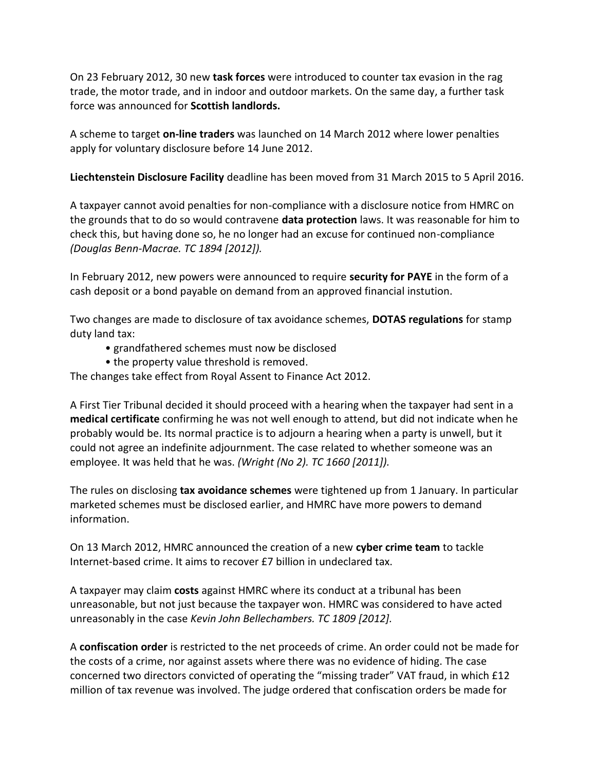On 23 February 2012, 30 new **task forces** were introduced to counter tax evasion in the rag trade, the motor trade, and in indoor and outdoor markets. On the same day, a further task force was announced for **Scottish landlords.**

A scheme to target **on-line traders** was launched on 14 March 2012 where lower penalties apply for voluntary disclosure before 14 June 2012.

**Liechtenstein Disclosure Facility** deadline has been moved from 31 March 2015 to 5 April 2016.

A taxpayer cannot avoid penalties for non-compliance with a disclosure notice from HMRC on the grounds that to do so would contravene **data protection** laws. It was reasonable for him to check this, but having done so, he no longer had an excuse for continued non-compliance *(Douglas Benn-Macrae. TC 1894 [2012]).*

In February 2012, new powers were announced to require **security for PAYE** in the form of a cash deposit or a bond payable on demand from an approved financial instution.

Two changes are made to disclosure of tax avoidance schemes, **DOTAS regulations** for stamp duty land tax:

- grandfathered schemes must now be disclosed
- the property value threshold is removed.

The changes take effect from Royal Assent to Finance Act 2012.

A First Tier Tribunal decided it should proceed with a hearing when the taxpayer had sent in a **medical certificate** confirming he was not well enough to attend, but did not indicate when he probably would be. Its normal practice is to adjourn a hearing when a party is unwell, but it could not agree an indefinite adjournment. The case related to whether someone was an employee. It was held that he was. *(Wright (No 2). TC 1660 [2011]).*

The rules on disclosing **tax avoidance schemes** were tightened up from 1 January. In particular marketed schemes must be disclosed earlier, and HMRC have more powers to demand information.

On 13 March 2012, HMRC announced the creation of a new **cyber crime team** to tackle Internet-based crime. It aims to recover £7 billion in undeclared tax.

A taxpayer may claim **costs** against HMRC where its conduct at a tribunal has been unreasonable, but not just because the taxpayer won. HMRC was considered to have acted unreasonably in the case *Kevin John Bellechambers. TC 1809 [2012].*

A **confiscation order** is restricted to the net proceeds of crime. An order could not be made for the costs of a crime, nor against assets where there was no evidence of hiding. The case concerned two directors convicted of operating the "missing trader" VAT fraud, in which £12 million of tax revenue was involved. The judge ordered that confiscation orders be made for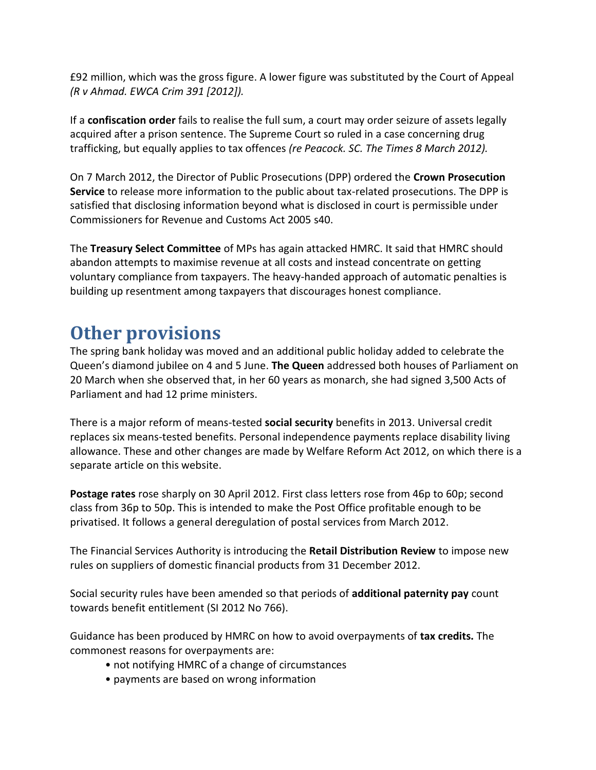£92 million, which was the gross figure. A lower figure was substituted by the Court of Appeal *(R v Ahmad. EWCA Crim 391 [2012]).*

If a **confiscation order** fails to realise the full sum, a court may order seizure of assets legally acquired after a prison sentence. The Supreme Court so ruled in a case concerning drug trafficking, but equally applies to tax offences *(re Peacock. SC. The Times 8 March 2012).*

On 7 March 2012, the Director of Public Prosecutions (DPP) ordered the **Crown Prosecution Service** to release more information to the public about tax-related prosecutions. The DPP is satisfied that disclosing information beyond what is disclosed in court is permissible under Commissioners for Revenue and Customs Act 2005 s40.

The **Treasury Select Committee** of MPs has again attacked HMRC. It said that HMRC should abandon attempts to maximise revenue at all costs and instead concentrate on getting voluntary compliance from taxpayers. The heavy-handed approach of automatic penalties is building up resentment among taxpayers that discourages honest compliance.

## **Other provisions**

The spring bank holiday was moved and an additional public holiday added to celebrate the Queen's diamond jubilee on 4 and 5 June. **The Queen** addressed both houses of Parliament on 20 March when she observed that, in her 60 years as monarch, she had signed 3,500 Acts of Parliament and had 12 prime ministers.

There is a major reform of means-tested **social security** benefits in 2013. Universal credit replaces six means-tested benefits. Personal independence payments replace disability living allowance. These and other changes are made by Welfare Reform Act 2012, on which there is a separate article on this website.

**Postage rates** rose sharply on 30 April 2012. First class letters rose from 46p to 60p; second class from 36p to 50p. This is intended to make the Post Office profitable enough to be privatised. It follows a general deregulation of postal services from March 2012.

The Financial Services Authority is introducing the **Retail Distribution Review** to impose new rules on suppliers of domestic financial products from 31 December 2012.

Social security rules have been amended so that periods of **additional paternity pay** count towards benefit entitlement (SI 2012 No 766).

Guidance has been produced by HMRC on how to avoid overpayments of **tax credits.** The commonest reasons for overpayments are:

- not notifying HMRC of a change of circumstances
- payments are based on wrong information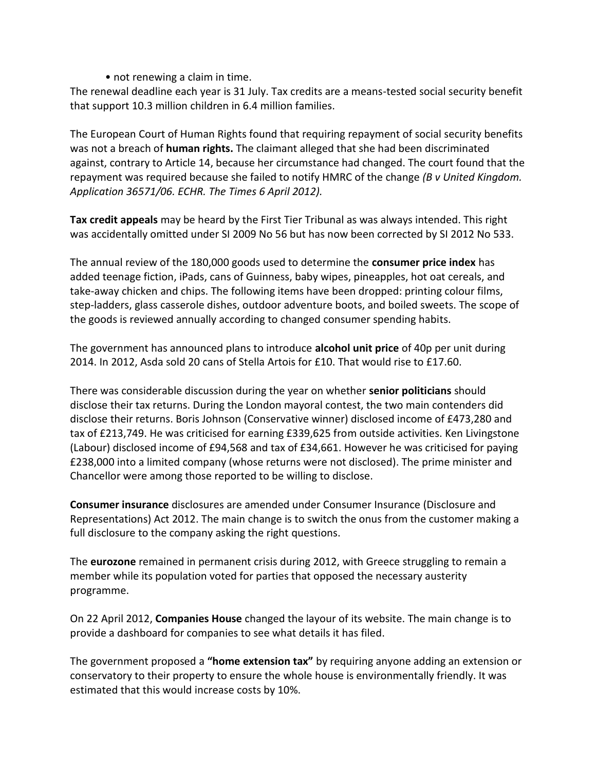• not renewing a claim in time.

The renewal deadline each year is 31 July. Tax credits are a means-tested social security benefit that support 10.3 million children in 6.4 million families.

The European Court of Human Rights found that requiring repayment of social security benefits was not a breach of **human rights.** The claimant alleged that she had been discriminated against, contrary to Article 14, because her circumstance had changed. The court found that the repayment was required because she failed to notify HMRC of the change *(B v United Kingdom. Application 36571/06. ECHR. The Times 6 April 2012).*

**Tax credit appeals** may be heard by the First Tier Tribunal as was always intended. This right was accidentally omitted under SI 2009 No 56 but has now been corrected by SI 2012 No 533.

The annual review of the 180,000 goods used to determine the **consumer price index** has added teenage fiction, iPads, cans of Guinness, baby wipes, pineapples, hot oat cereals, and take-away chicken and chips. The following items have been dropped: printing colour films, step-ladders, glass casserole dishes, outdoor adventure boots, and boiled sweets. The scope of the goods is reviewed annually according to changed consumer spending habits.

The government has announced plans to introduce **alcohol unit price** of 40p per unit during 2014. In 2012, Asda sold 20 cans of Stella Artois for £10. That would rise to £17.60.

There was considerable discussion during the year on whether **senior politicians** should disclose their tax returns. During the London mayoral contest, the two main contenders did disclose their returns. Boris Johnson (Conservative winner) disclosed income of £473,280 and tax of £213,749. He was criticised for earning £339,625 from outside activities. Ken Livingstone (Labour) disclosed income of £94,568 and tax of £34,661. However he was criticised for paying £238,000 into a limited company (whose returns were not disclosed). The prime minister and Chancellor were among those reported to be willing to disclose.

**Consumer insurance** disclosures are amended under Consumer Insurance (Disclosure and Representations) Act 2012. The main change is to switch the onus from the customer making a full disclosure to the company asking the right questions.

The **eurozone** remained in permanent crisis during 2012, with Greece struggling to remain a member while its population voted for parties that opposed the necessary austerity programme.

On 22 April 2012, **Companies House** changed the layour of its website. The main change is to provide a dashboard for companies to see what details it has filed.

The government proposed a **"home extension tax"** by requiring anyone adding an extension or conservatory to their property to ensure the whole house is environmentally friendly. It was estimated that this would increase costs by 10%.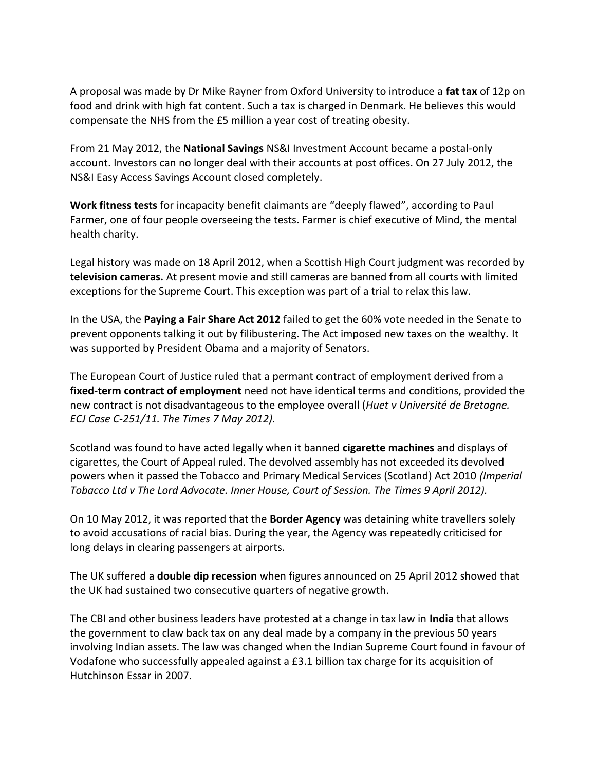A proposal was made by Dr Mike Rayner from Oxford University to introduce a **fat tax** of 12p on food and drink with high fat content. Such a tax is charged in Denmark. He believes this would compensate the NHS from the £5 million a year cost of treating obesity.

From 21 May 2012, the **National Savings** NS&I Investment Account became a postal-only account. Investors can no longer deal with their accounts at post offices. On 27 July 2012, the NS&I Easy Access Savings Account closed completely.

**Work fitness tests** for incapacity benefit claimants are "deeply flawed", according to Paul Farmer, one of four people overseeing the tests. Farmer is chief executive of Mind, the mental health charity.

Legal history was made on 18 April 2012, when a Scottish High Court judgment was recorded by **television cameras.** At present movie and still cameras are banned from all courts with limited exceptions for the Supreme Court. This exception was part of a trial to relax this law.

In the USA, the **Paying a Fair Share Act 2012** failed to get the 60% vote needed in the Senate to prevent opponents talking it out by filibustering. The Act imposed new taxes on the wealthy. It was supported by President Obama and a majority of Senators.

The European Court of Justice ruled that a permant contract of employment derived from a **fixed-term contract of employment** need not have identical terms and conditions, provided the new contract is not disadvantageous to the employee overall (*Huet v Université de Bretagne. ECJ Case C-251/11. The Times 7 May 2012).*

Scotland was found to have acted legally when it banned **cigarette machines** and displays of cigarettes, the Court of Appeal ruled. The devolved assembly has not exceeded its devolved powers when it passed the Tobacco and Primary Medical Services (Scotland) Act 2010 *(Imperial Tobacco Ltd v The Lord Advocate. Inner House, Court of Session. The Times 9 April 2012).*

On 10 May 2012, it was reported that the **Border Agency** was detaining white travellers solely to avoid accusations of racial bias. During the year, the Agency was repeatedly criticised for long delays in clearing passengers at airports.

The UK suffered a **double dip recession** when figures announced on 25 April 2012 showed that the UK had sustained two consecutive quarters of negative growth.

The CBI and other business leaders have protested at a change in tax law in **India** that allows the government to claw back tax on any deal made by a company in the previous 50 years involving Indian assets. The law was changed when the Indian Supreme Court found in favour of Vodafone who successfully appealed against a £3.1 billion tax charge for its acquisition of Hutchinson Essar in 2007.